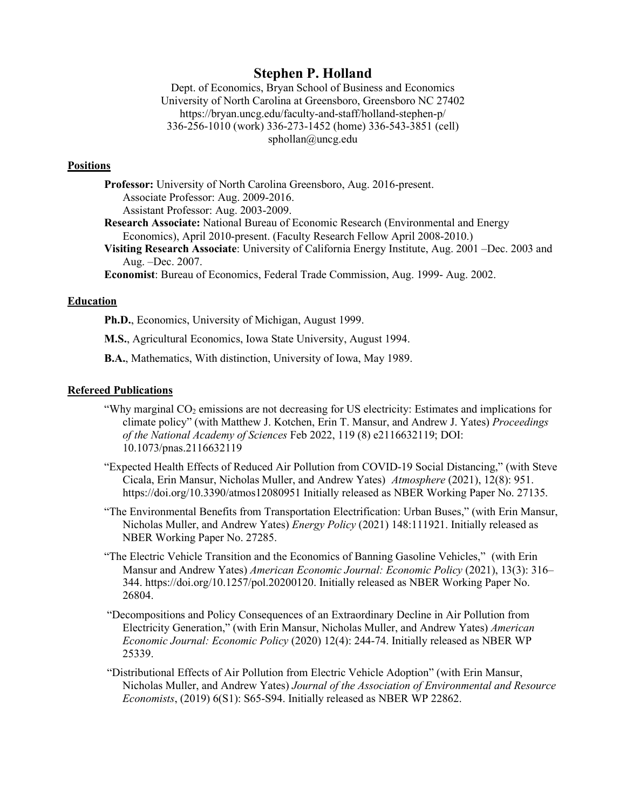# **Stephen P. Holland**

Dept. of Economics, Bryan School of Business and Economics University of North Carolina at Greensboro, Greensboro NC 27402 https://bryan.uncg.edu/faculty-and-staff/holland-stephen-p/ 336-256-1010 (work) 336-273-1452 (home) 336-543-3851 (cell) sphollan@uncg.edu

### **Positions**

**Professor:** University of North Carolina Greensboro, Aug. 2016-present. Associate Professor: Aug. 2009-2016. Assistant Professor: Aug. 2003-2009. **Research Associate:** National Bureau of Economic Research (Environmental and Energy Economics), April 2010-present. (Faculty Research Fellow April 2008-2010.) **Visiting Research Associate**: University of California Energy Institute, Aug. 2001 –Dec. 2003 and Aug. –Dec. 2007.

**Economist**: Bureau of Economics, Federal Trade Commission, Aug. 1999- Aug. 2002.

# **Education**

**Ph.D.**, Economics, University of Michigan, August 1999.

**M.S.**, Agricultural Economics, Iowa State University, August 1994.

**B.A.**, Mathematics, With distinction, University of Iowa, May 1989.

### **Refereed Publications**

- "Why marginal  $CO<sub>2</sub>$  emissions are not decreasing for US electricity: Estimates and implications for climate policy" (with Matthew J. Kotchen, Erin T. Mansur, and Andrew J. Yates) *Proceedings of the National Academy of Sciences* Feb 2022, 119 (8) e2116632119; DOI: 10.1073/pnas.2116632119
- "Expected Health Effects of Reduced Air Pollution from COVID-19 Social Distancing," (with Steve Cicala, Erin Mansur, Nicholas Muller, and Andrew Yates) *Atmosphere* (2021), 12(8): 951. https://doi.org/10.3390/atmos12080951 Initially released as NBER Working Paper No. 27135.
- "The Environmental Benefits from Transportation Electrification: Urban Buses," (with Erin Mansur, Nicholas Muller, and Andrew Yates) *Energy Policy* (2021) 148:111921. Initially released as NBER Working Paper No. 27285.
- "The Electric Vehicle Transition and the Economics of Banning Gasoline Vehicles," (with Erin Mansur and Andrew Yates) *American Economic Journal: Economic Policy* (2021), 13(3): 316– 344. https://doi.org/10.1257/pol.20200120. Initially released as NBER Working Paper No. 26804.
- "Decompositions and Policy Consequences of an Extraordinary Decline in Air Pollution from Electricity Generation," (with Erin Mansur, Nicholas Muller, and Andrew Yates) *American Economic Journal: Economic Policy* (2020) 12(4): 244-74. Initially released as NBER WP 25339.
- "Distributional Effects of Air Pollution from Electric Vehicle Adoption" (with Erin Mansur, Nicholas Muller, and Andrew Yates) *Journal of the Association of Environmental and Resource Economists*, (2019) 6(S1): S65-S94. Initially released as NBER WP 22862.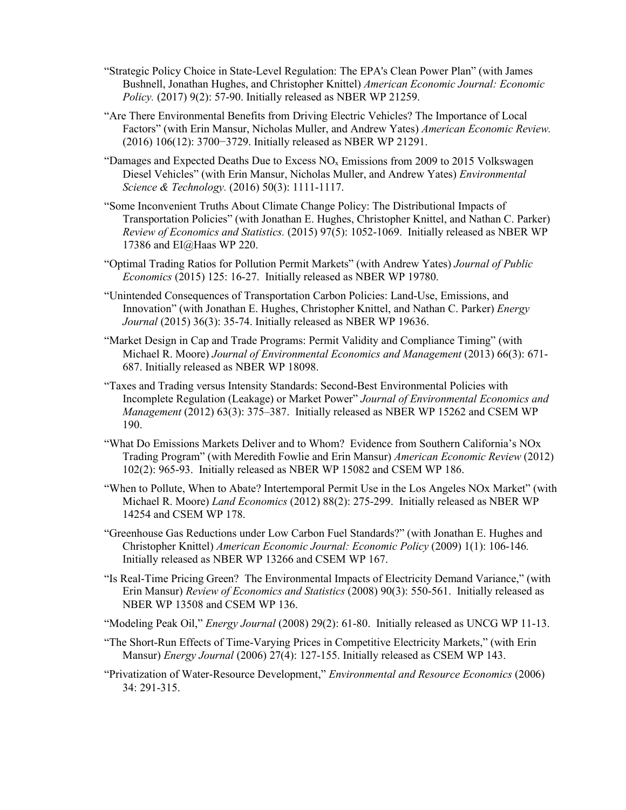- "Strategic Policy Choice in State-Level Regulation: The EPA's Clean Power Plan" (with James Bushnell, Jonathan Hughes, and Christopher Knittel) *American Economic Journal: Economic Policy.* (2017) 9(2): 57-90. Initially released as NBER WP 21259.
- "Are There Environmental Benefits from Driving Electric Vehicles? The Importance of Local Factors" (with Erin Mansur, Nicholas Muller, and Andrew Yates) *American Economic Review.* (2016) 106(12): 3700−3729. Initially released as NBER WP 21291.
- "Damages and Expected Deaths Due to Excess  $NO<sub>x</sub>$  Emissions from 2009 to 2015 Volkswagen Diesel Vehicles" (with Erin Mansur, Nicholas Muller, and Andrew Yates) *Environmental Science & Technology.* (2016) 50(3): 1111-1117.
- "Some Inconvenient Truths About Climate Change Policy: The Distributional Impacts of Transportation Policies" (with Jonathan E. Hughes, Christopher Knittel, and Nathan C. Parker) *Review of Economics and Statistics.* (2015) 97(5): 1052-1069. Initially released as NBER WP 17386 and EI@Haas WP 220.
- "Optimal Trading Ratios for Pollution Permit Markets" (with Andrew Yates) *Journal of Public Economics* (2015) 125: 16-27. Initially released as NBER WP 19780.
- "Unintended Consequences of Transportation Carbon Policies: Land-Use, Emissions, and Innovation" (with Jonathan E. Hughes, Christopher Knittel, and Nathan C. Parker) *Energy Journal* (2015) 36(3): 35-74. Initially released as NBER WP 19636.
- "Market Design in Cap and Trade Programs: Permit Validity and Compliance Timing" (with Michael R. Moore) *Journal of Environmental Economics and Management* (2013) 66(3): 671- 687. Initially released as NBER WP 18098.
- "Taxes and Trading versus Intensity Standards: Second-Best Environmental Policies with Incomplete Regulation (Leakage) or Market Power" *Journal of Environmental Economics and Management* (2012) 63(3): 375–387. Initially released as NBER WP 15262 and CSEM WP 190.
- "What Do Emissions Markets Deliver and to Whom? Evidence from Southern California's NOx Trading Program" (with Meredith Fowlie and Erin Mansur) *American Economic Review* (2012) 102(2): 965-93. Initially released as NBER WP 15082 and CSEM WP 186.
- "When to Pollute, When to Abate? Intertemporal Permit Use in the Los Angeles NOx Market" (with Michael R. Moore) *Land Economics* (2012) 88(2): 275-299. Initially released as NBER WP 14254 and CSEM WP 178.
- "Greenhouse Gas Reductions under Low Carbon Fuel Standards?" (with Jonathan E. Hughes and Christopher Knittel) *American Economic Journal: Economic Policy* (2009) 1(1): 106-146*.* Initially released as NBER WP 13266 and CSEM WP 167.
- "Is Real-Time Pricing Green? The Environmental Impacts of Electricity Demand Variance," (with Erin Mansur) *Review of Economics and Statistics* (2008) 90(3): 550-561. Initially released as NBER WP 13508 and CSEM WP 136.
- "Modeling Peak Oil," *Energy Journal* (2008) 29(2): 61-80. Initially released as UNCG WP 11-13.
- "The Short-Run Effects of Time-Varying Prices in Competitive Electricity Markets," (with Erin Mansur) *Energy Journal* (2006) 27(4): 127-155. Initially released as CSEM WP 143.
- "Privatization of Water-Resource Development," *Environmental and Resource Economics* (2006) 34: 291-315.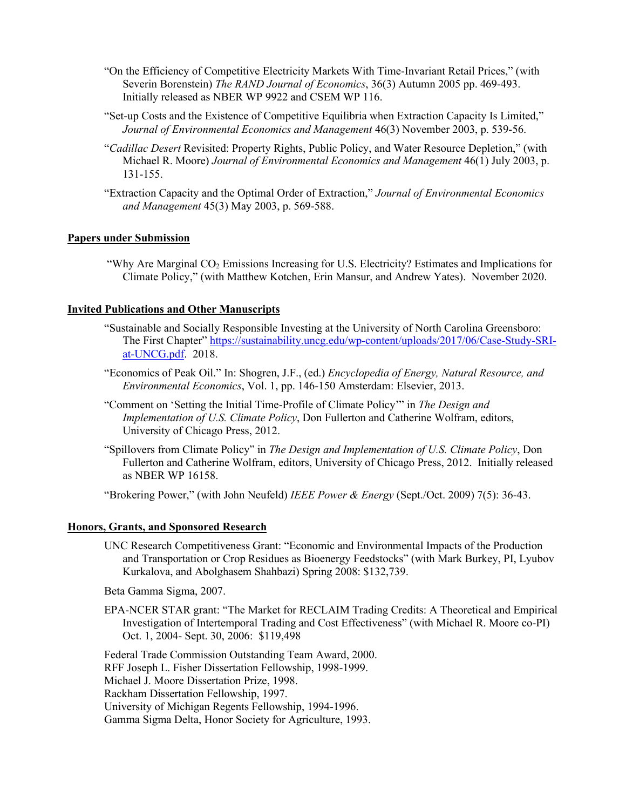- "On the Efficiency of Competitive Electricity Markets With Time-Invariant Retail Prices," (with Severin Borenstein) *The RAND Journal of Economics*, 36(3) Autumn 2005 pp. 469-493. Initially released as NBER WP 9922 and CSEM WP 116.
- "Set-up Costs and the Existence of Competitive Equilibria when Extraction Capacity Is Limited," *Journal of Environmental Economics and Management* 46(3) November 2003, p. 539-56.
- "*Cadillac Desert* Revisited: Property Rights, Public Policy, and Water Resource Depletion," (with Michael R. Moore) *Journal of Environmental Economics and Management* 46(1) July 2003, p. 131-155.
- "Extraction Capacity and the Optimal Order of Extraction," *Journal of Environmental Economics and Management* 45(3) May 2003, p. 569-588.

# **Papers under Submission**

"Why Are Marginal CO2 Emissions Increasing for U.S. Electricity? Estimates and Implications for Climate Policy," (with Matthew Kotchen, Erin Mansur, and Andrew Yates). November 2020.

# **Invited Publications and Other Manuscripts**

- "Sustainable and Socially Responsible Investing at the University of North Carolina Greensboro: The First Chapter" [https://sustainability.uncg.edu/wp-content/uploads/2017/06/Case-Study-SRI](https://sustainability.uncg.edu/wp-content/uploads/2017/06/Case-Study-SRI-at-UNCG.pdf)[at-UNCG.pdf.](https://sustainability.uncg.edu/wp-content/uploads/2017/06/Case-Study-SRI-at-UNCG.pdf) 2018.
- "Economics of Peak Oil." In: Shogren, J.F., (ed.) *Encyclopedia of Energy, Natural Resource, and Environmental Economics*, Vol. 1, pp. 146-150 Amsterdam: Elsevier, 2013.
- "Comment on 'Setting the Initial Time-Profile of Climate Policy'" in *The Design and Implementation of U.S. Climate Policy*, Don Fullerton and Catherine Wolfram, editors, University of Chicago Press, 2012.
- "Spillovers from Climate Policy" in *The Design and Implementation of U.S. Climate Policy*, Don Fullerton and Catherine Wolfram, editors, University of Chicago Press, 2012. Initially released as NBER WP 16158.

"Brokering Power," (with John Neufeld) *IEEE Power & Energy* (Sept./Oct. 2009) 7(5): 36-43.

### **Honors, Grants, and Sponsored Research**

UNC Research Competitiveness Grant: "Economic and Environmental Impacts of the Production and Transportation or Crop Residues as Bioenergy Feedstocks" (with Mark Burkey, PI, Lyubov Kurkalova, and Abolghasem Shahbazi) Spring 2008: \$132,739.

Beta Gamma Sigma, 2007.

EPA-NCER STAR grant: "The Market for RECLAIM Trading Credits: A Theoretical and Empirical Investigation of Intertemporal Trading and Cost Effectiveness" (with Michael R. Moore co-PI) Oct. 1, 2004- Sept. 30, 2006: \$119,498

Federal Trade Commission Outstanding Team Award, 2000. RFF Joseph L. Fisher Dissertation Fellowship, 1998-1999. Michael J. Moore Dissertation Prize, 1998. Rackham Dissertation Fellowship, 1997. University of Michigan Regents Fellowship, 1994-1996.

Gamma Sigma Delta, Honor Society for Agriculture, 1993.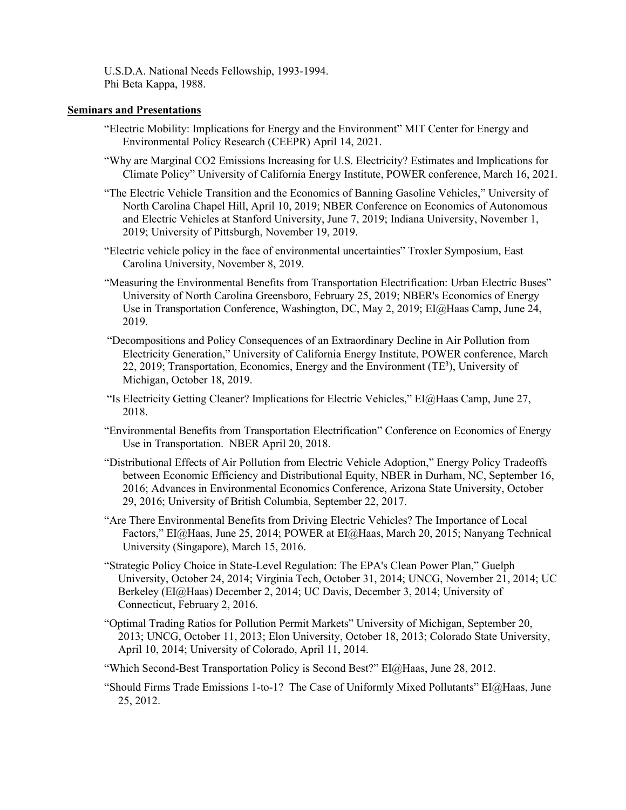U.S.D.A. National Needs Fellowship, 1993-1994. Phi Beta Kappa, 1988.

### **Seminars and Presentations**

- "Electric Mobility: Implications for Energy and the Environment" MIT Center for Energy and Environmental Policy Research (CEEPR) April 14, 2021.
- "Why are Marginal CO2 Emissions Increasing for U.S. Electricity? Estimates and Implications for Climate Policy" University of California Energy Institute, POWER conference, March 16, 2021.
- "The Electric Vehicle Transition and the Economics of Banning Gasoline Vehicles," University of North Carolina Chapel Hill, April 10, 2019; NBER Conference on Economics of Autonomous and Electric Vehicles at Stanford University, June 7, 2019; Indiana University, November 1, 2019; University of Pittsburgh, November 19, 2019.
- "Electric vehicle policy in the face of environmental uncertainties" Troxler Symposium, East Carolina University, November 8, 2019.
- "Measuring the Environmental Benefits from Transportation Electrification: Urban Electric Buses" University of North Carolina Greensboro, February 25, 2019; NBER's Economics of Energy Use in Transportation Conference, Washington, DC, May 2, 2019; EI@Haas Camp, June 24, 2019.
- "Decompositions and Policy Consequences of an Extraordinary Decline in Air Pollution from Electricity Generation," University of California Energy Institute, POWER conference, March 22, 2019; Transportation, Economics, Energy and the Environment (TE<sup>3</sup>), University of Michigan, October 18, 2019.
- "Is Electricity Getting Cleaner? Implications for Electric Vehicles," EI@Haas Camp, June 27, 2018.
- "Environmental Benefits from Transportation Electrification" Conference on Economics of Energy Use in Transportation. NBER April 20, 2018.
- "Distributional Effects of Air Pollution from Electric Vehicle Adoption," Energy Policy Tradeoffs between Economic Efficiency and Distributional Equity, NBER in Durham, NC, September 16, 2016; Advances in Environmental Economics Conference, Arizona State University, October 29, 2016; University of British Columbia, September 22, 2017.
- "Are There Environmental Benefits from Driving Electric Vehicles? The Importance of Local Factors," EI@Haas, June 25, 2014; POWER at EI@Haas, March 20, 2015; Nanyang Technical University (Singapore), March 15, 2016.
- "Strategic Policy Choice in State-Level Regulation: The EPA's Clean Power Plan," Guelph University, October 24, 2014; Virginia Tech, October 31, 2014; UNCG, November 21, 2014; UC Berkeley (EI@Haas) December 2, 2014; UC Davis, December 3, 2014; University of Connecticut, February 2, 2016.
- "Optimal Trading Ratios for Pollution Permit Markets" University of Michigan, September 20, 2013; UNCG, October 11, 2013; Elon University, October 18, 2013; Colorado State University, April 10, 2014; University of Colorado, April 11, 2014.
- "Which Second-Best Transportation Policy is Second Best?" EI@Haas, June 28, 2012.
- "Should Firms Trade Emissions 1-to-1? The Case of Uniformly Mixed Pollutants" EI@Haas, June 25, 2012.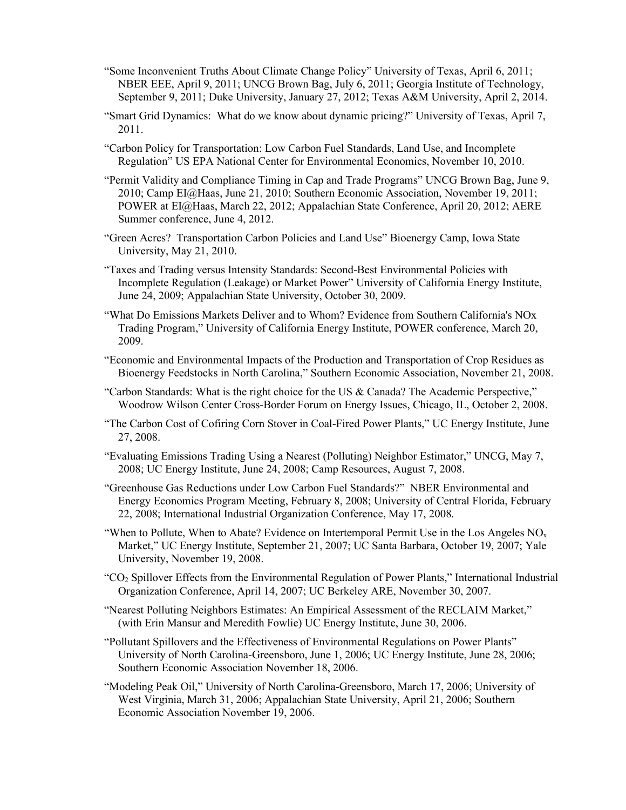- "Some Inconvenient Truths About Climate Change Policy" University of Texas, April 6, 2011; NBER EEE, April 9, 2011; UNCG Brown Bag, July 6, 2011; Georgia Institute of Technology, September 9, 2011; Duke University, January 27, 2012; Texas A&M University, April 2, 2014.
- "Smart Grid Dynamics: What do we know about dynamic pricing?" University of Texas, April 7, 2011.
- "Carbon Policy for Transportation: Low Carbon Fuel Standards, Land Use, and Incomplete Regulation" US EPA National Center for Environmental Economics, November 10, 2010.
- "Permit Validity and Compliance Timing in Cap and Trade Programs" UNCG Brown Bag, June 9, 2010; Camp EI@Haas, June 21, 2010; Southern Economic Association, November 19, 2011; POWER at EI@Haas, March 22, 2012; Appalachian State Conference, April 20, 2012; AERE Summer conference, June 4, 2012.
- "Green Acres? Transportation Carbon Policies and Land Use" Bioenergy Camp, Iowa State University, May 21, 2010.
- "Taxes and Trading versus Intensity Standards: Second-Best Environmental Policies with Incomplete Regulation (Leakage) or Market Power" University of California Energy Institute, June 24, 2009; Appalachian State University, October 30, 2009.
- "What Do Emissions Markets Deliver and to Whom? Evidence from Southern California's NOx Trading Program," University of California Energy Institute, POWER conference, March 20, 2009.
- "Economic and Environmental Impacts of the Production and Transportation of Crop Residues as Bioenergy Feedstocks in North Carolina," Southern Economic Association, November 21, 2008.
- "Carbon Standards: What is the right choice for the US & Canada? The Academic Perspective," Woodrow Wilson Center Cross-Border Forum on Energy Issues, Chicago, IL, October 2, 2008.
- "The Carbon Cost of Cofiring Corn Stover in Coal-Fired Power Plants," UC Energy Institute, June 27, 2008.
- "Evaluating Emissions Trading Using a Nearest (Polluting) Neighbor Estimator," UNCG, May 7, 2008; UC Energy Institute, June 24, 2008; Camp Resources, August 7, 2008.
- "Greenhouse Gas Reductions under Low Carbon Fuel Standards?" NBER Environmental and Energy Economics Program Meeting, February 8, 2008; University of Central Florida, February 22, 2008; International Industrial Organization Conference, May 17, 2008.
- "When to Pollute, When to Abate? Evidence on Intertemporal Permit Use in the Los Angeles  $NO<sub>x</sub>$ Market," UC Energy Institute, September 21, 2007; UC Santa Barbara, October 19, 2007; Yale University, November 19, 2008.
- "CO2 Spillover Effects from the Environmental Regulation of Power Plants," International Industrial Organization Conference, April 14, 2007; UC Berkeley ARE, November 30, 2007.
- "Nearest Polluting Neighbors Estimates: An Empirical Assessment of the RECLAIM Market," (with Erin Mansur and Meredith Fowlie) UC Energy Institute, June 30, 2006.
- "Pollutant Spillovers and the Effectiveness of Environmental Regulations on Power Plants" University of North Carolina-Greensboro, June 1, 2006; UC Energy Institute, June 28, 2006; Southern Economic Association November 18, 2006.
- "Modeling Peak Oil," University of North Carolina-Greensboro, March 17, 2006; University of West Virginia, March 31, 2006; Appalachian State University, April 21, 2006; Southern Economic Association November 19, 2006.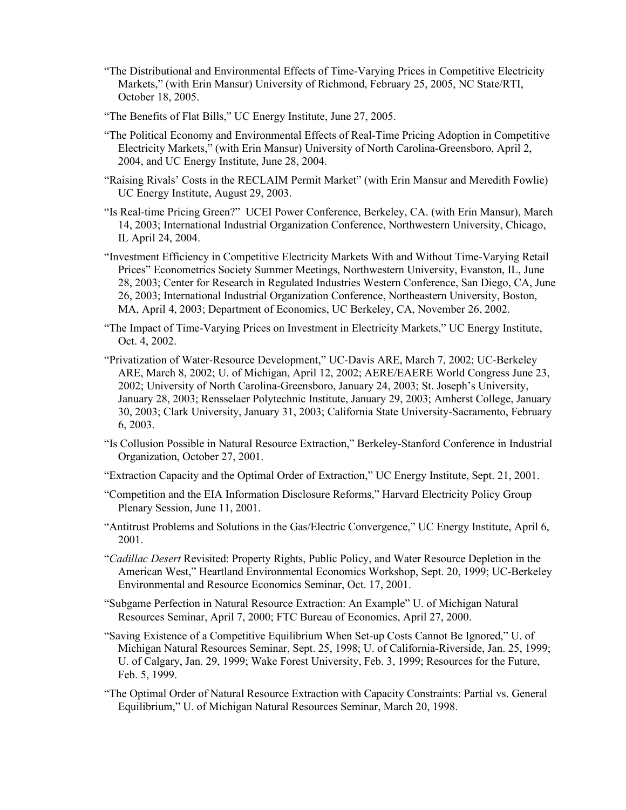- "The Distributional and Environmental Effects of Time-Varying Prices in Competitive Electricity Markets," (with Erin Mansur) University of Richmond, February 25, 2005, NC State/RTI, October 18, 2005.
- "The Benefits of Flat Bills," UC Energy Institute, June 27, 2005.
- "The Political Economy and Environmental Effects of Real-Time Pricing Adoption in Competitive Electricity Markets," (with Erin Mansur) University of North Carolina-Greensboro, April 2, 2004, and UC Energy Institute, June 28, 2004.
- "Raising Rivals' Costs in the RECLAIM Permit Market" (with Erin Mansur and Meredith Fowlie) UC Energy Institute, August 29, 2003.
- "Is Real-time Pricing Green?" UCEI Power Conference, Berkeley, CA. (with Erin Mansur), March 14, 2003; International Industrial Organization Conference, Northwestern University, Chicago, IL April 24, 2004.
- "Investment Efficiency in Competitive Electricity Markets With and Without Time-Varying Retail Prices" Econometrics Society Summer Meetings, Northwestern University, Evanston, IL, June 28, 2003; Center for Research in Regulated Industries Western Conference, San Diego, CA, June 26, 2003; International Industrial Organization Conference, Northeastern University, Boston, MA, April 4, 2003; Department of Economics, UC Berkeley, CA, November 26, 2002.
- "The Impact of Time-Varying Prices on Investment in Electricity Markets," UC Energy Institute, Oct. 4, 2002.
- "Privatization of Water-Resource Development," UC-Davis ARE, March 7, 2002; UC-Berkeley ARE, March 8, 2002; U. of Michigan, April 12, 2002; AERE/EAERE World Congress June 23, 2002; University of North Carolina-Greensboro, January 24, 2003; St. Joseph's University, January 28, 2003; Rensselaer Polytechnic Institute, January 29, 2003; Amherst College, January 30, 2003; Clark University, January 31, 2003; California State University-Sacramento, February 6, 2003.
- "Is Collusion Possible in Natural Resource Extraction," Berkeley-Stanford Conference in Industrial Organization, October 27, 2001.
- "Extraction Capacity and the Optimal Order of Extraction," UC Energy Institute, Sept. 21, 2001.
- "Competition and the EIA Information Disclosure Reforms," Harvard Electricity Policy Group Plenary Session, June 11, 2001.
- "Antitrust Problems and Solutions in the Gas/Electric Convergence," UC Energy Institute, April 6, 2001.
- "*Cadillac Desert* Revisited: Property Rights, Public Policy, and Water Resource Depletion in the American West," Heartland Environmental Economics Workshop, Sept. 20, 1999; UC-Berkeley Environmental and Resource Economics Seminar, Oct. 17, 2001.
- "Subgame Perfection in Natural Resource Extraction: An Example" U. of Michigan Natural Resources Seminar, April 7, 2000; FTC Bureau of Economics, April 27, 2000.
- "Saving Existence of a Competitive Equilibrium When Set-up Costs Cannot Be Ignored," U. of Michigan Natural Resources Seminar, Sept. 25, 1998; U. of California-Riverside, Jan. 25, 1999; U. of Calgary, Jan. 29, 1999; Wake Forest University, Feb. 3, 1999; Resources for the Future, Feb. 5, 1999.
- "The Optimal Order of Natural Resource Extraction with Capacity Constraints: Partial vs. General Equilibrium," U. of Michigan Natural Resources Seminar, March 20, 1998.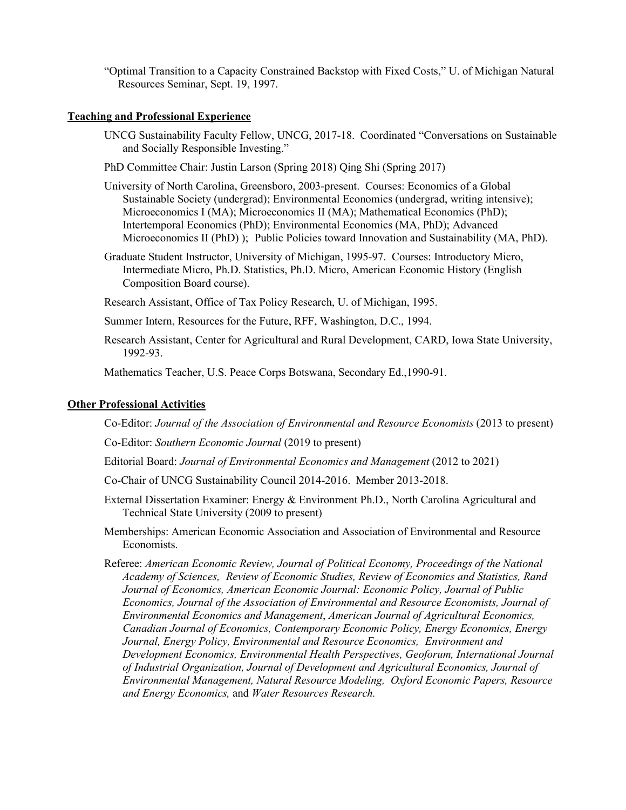"Optimal Transition to a Capacity Constrained Backstop with Fixed Costs," U. of Michigan Natural Resources Seminar, Sept. 19, 1997.

### **Teaching and Professional Experience**

- UNCG Sustainability Faculty Fellow, UNCG, 2017-18. Coordinated "Conversations on Sustainable and Socially Responsible Investing."
- PhD Committee Chair: Justin Larson (Spring 2018) Qing Shi (Spring 2017)
- University of North Carolina, Greensboro, 2003-present. Courses: Economics of a Global Sustainable Society (undergrad); Environmental Economics (undergrad, writing intensive); Microeconomics I (MA); Microeconomics II (MA); Mathematical Economics (PhD); Intertemporal Economics (PhD); Environmental Economics (MA, PhD); Advanced Microeconomics II (PhD) ); Public Policies toward Innovation and Sustainability (MA, PhD).
- Graduate Student Instructor, University of Michigan, 1995-97. Courses: Introductory Micro, Intermediate Micro, Ph.D. Statistics, Ph.D. Micro, American Economic History (English Composition Board course).

Research Assistant, Office of Tax Policy Research, U. of Michigan, 1995.

Summer Intern, Resources for the Future, RFF, Washington, D.C., 1994.

Research Assistant, Center for Agricultural and Rural Development, CARD, Iowa State University, 1992-93.

Mathematics Teacher, U.S. Peace Corps Botswana, Secondary Ed.,1990-91.

# **Other Professional Activities**

Co-Editor: *Journal of the Association of Environmental and Resource Economists* (2013 to present)

Co-Editor: *Southern Economic Journal* (2019 to present)

Editorial Board: *Journal of Environmental Economics and Management* (2012 to 2021)

Co-Chair of UNCG Sustainability Council 2014-2016. Member 2013-2018.

- External Dissertation Examiner: Energy & Environment Ph.D., North Carolina Agricultural and Technical State University (2009 to present)
- Memberships: American Economic Association and Association of Environmental and Resource Economists.
- Referee: *American Economic Review, Journal of Political Economy, Proceedings of the National Academy of Sciences, Review of Economic Studies, Review of Economics and Statistics, Rand Journal of Economics, American Economic Journal: Economic Policy, Journal of Public Economics, Journal of the Association of Environmental and Resource Economists, Journal of Environmental Economics and Management*, *American Journal of Agricultural Economics, Canadian Journal of Economics, Contemporary Economic Policy, Energy Economics, Energy Journal, Energy Policy, Environmental and Resource Economics, Environment and Development Economics, Environmental Health Perspectives, Geoforum, International Journal of Industrial Organization, Journal of Development and Agricultural Economics, Journal of Environmental Management, Natural Resource Modeling, Oxford Economic Papers, Resource and Energy Economics,* and *Water Resources Research.*